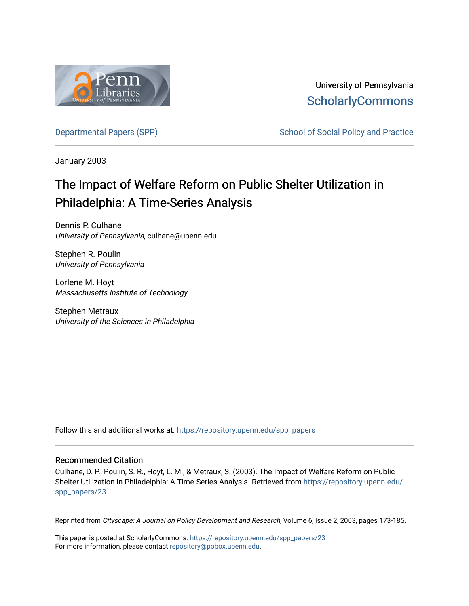

University of Pennsylvania **ScholarlyCommons** 

[Departmental Papers \(SPP\)](https://repository.upenn.edu/spp_papers) School of Social Policy and Practice

January 2003

# The Impact of Welfare Reform on Public Shelter Utilization in Philadelphia: A Time-Series Analysis

Dennis P. Culhane University of Pennsylvania, culhane@upenn.edu

Stephen R. Poulin University of Pennsylvania

Lorlene M. Hoyt Massachusetts Institute of Technology

Stephen Metraux University of the Sciences in Philadelphia

Follow this and additional works at: [https://repository.upenn.edu/spp\\_papers](https://repository.upenn.edu/spp_papers?utm_source=repository.upenn.edu%2Fspp_papers%2F23&utm_medium=PDF&utm_campaign=PDFCoverPages) 

#### Recommended Citation

Culhane, D. P., Poulin, S. R., Hoyt, L. M., & Metraux, S. (2003). The Impact of Welfare Reform on Public Shelter Utilization in Philadelphia: A Time-Series Analysis. Retrieved from [https://repository.upenn.edu/](https://repository.upenn.edu/spp_papers/23?utm_source=repository.upenn.edu%2Fspp_papers%2F23&utm_medium=PDF&utm_campaign=PDFCoverPages) [spp\\_papers/23](https://repository.upenn.edu/spp_papers/23?utm_source=repository.upenn.edu%2Fspp_papers%2F23&utm_medium=PDF&utm_campaign=PDFCoverPages) 

Reprinted from Cityscape: A Journal on Policy Development and Research, Volume 6, Issue 2, 2003, pages 173-185.

This paper is posted at ScholarlyCommons. [https://repository.upenn.edu/spp\\_papers/23](https://repository.upenn.edu/spp_papers/23)  For more information, please contact [repository@pobox.upenn.edu.](mailto:repository@pobox.upenn.edu)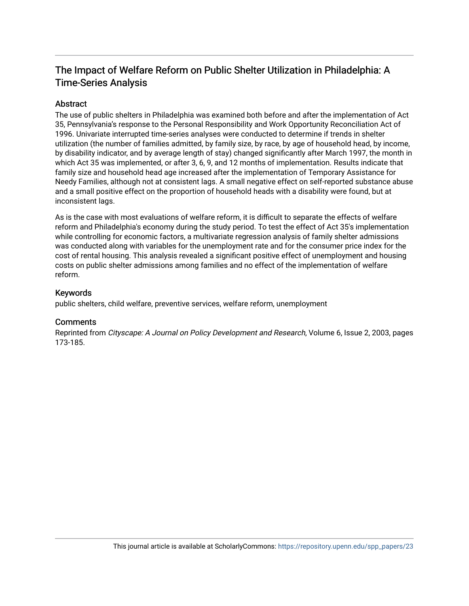# The Impact of Welfare Reform on Public Shelter Utilization in Philadelphia: A Time-Series Analysis

#### Abstract

The use of public shelters in Philadelphia was examined both before and after the implementation of Act 35, Pennsylvania's response to the Personal Responsibility and Work Opportunity Reconciliation Act of 1996. Univariate interrupted time-series analyses were conducted to determine if trends in shelter utilization (the number of families admitted, by family size, by race, by age of household head, by income, by disability indicator, and by average length of stay) changed significantly after March 1997, the month in which Act 35 was implemented, or after 3, 6, 9, and 12 months of implementation. Results indicate that family size and household head age increased after the implementation of Temporary Assistance for Needy Families, although not at consistent lags. A small negative effect on self-reported substance abuse and a small positive effect on the proportion of household heads with a disability were found, but at inconsistent lags.

As is the case with most evaluations of welfare reform, it is difficult to separate the effects of welfare reform and Philadelphia's economy during the study period. To test the effect of Act 35's implementation while controlling for economic factors, a multivariate regression analysis of family shelter admissions was conducted along with variables for the unemployment rate and for the consumer price index for the cost of rental housing. This analysis revealed a significant positive effect of unemployment and housing costs on public shelter admissions among families and no effect of the implementation of welfare reform.

#### Keywords

public shelters, child welfare, preventive services, welfare reform, unemployment

#### **Comments**

Reprinted from Cityscape: A Journal on Policy Development and Research, Volume 6, Issue 2, 2003, pages 173-185.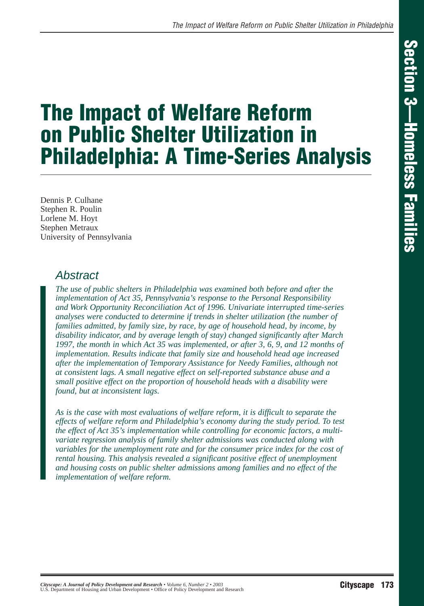# **The Impact of Welfare Reform on Public Shelter Utilization in Philadelphia: A Time-Series Analysis**

Dennis P. Culhane Stephen R. Poulin Lorlene M. Hoyt Stephen Metraux University of Pennsylvania

#### Abstract

*The use of public shelters in Philadelphia was examined both before and after the implementation of Act 35, Pennsylvania's response to the Personal Responsibility and Work Opportunity Reconciliation Act of 1996. Univariate interrupted time-series analyses were conducted to determine if trends in shelter utilization (the number of families admitted, by family size, by race, by age of household head, by income, by disability indicator, and by average length of stay) changed significantly after March 1997, the month in which Act 35 was implemented, or after 3, 6, 9, and 12 months of implementation. Results indicate that family size and household head age increased after the implementation of Temporary Assistance for Needy Families, although not at consistent lags. A small negative effect on self-reported substance abuse and a small positive effect on the proportion of household heads with a disability were found, but at inconsistent lags.* 

*As is the case with most evaluations of welfare reform, it is difficult to separate the effects of welfare reform and Philadelphia's economy during the study period. To test the effect of Act 35's implementation while controlling for economic factors, a multivariate regression analysis of family shelter admissions was conducted along with variables for the unemployment rate and for the consumer price index for the cost of rental housing. This analysis revealed a significant positive effect of unemployment and housing costs on public shelter admissions among families and no effect of the implementation of welfare reform.*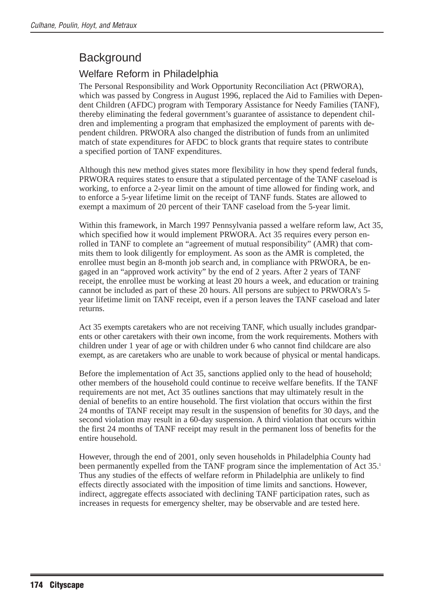# **Background**

#### Welfare Reform in Philadelphia

The Personal Responsibility and Work Opportunity Reconciliation Act (PRWORA), which was passed by Congress in August 1996, replaced the Aid to Families with Dependent Children (AFDC) program with Temporary Assistance for Needy Families (TANF), thereby eliminating the federal government's guarantee of assistance to dependent children and implementing a program that emphasized the employment of parents with dependent children. PRWORA also changed the distribution of funds from an unlimited match of state expenditures for AFDC to block grants that require states to contribute a specified portion of TANF expenditures.

Although this new method gives states more flexibility in how they spend federal funds, PRWORA requires states to ensure that a stipulated percentage of the TANF caseload is working, to enforce a 2-year limit on the amount of time allowed for finding work, and to enforce a 5-year lifetime limit on the receipt of TANF funds. States are allowed to exempt a maximum of 20 percent of their TANF caseload from the 5-year limit.

Within this framework, in March 1997 Pennsylvania passed a welfare reform law, Act 35, which specified how it would implement PRWORA. Act 35 requires every person enrolled in TANF to complete an "agreement of mutual responsibility" (AMR) that commits them to look diligently for employment. As soon as the AMR is completed, the enrollee must begin an 8-month job search and, in compliance with PRWORA, be engaged in an "approved work activity" by the end of 2 years. After 2 years of TANF receipt, the enrollee must be working at least 20 hours a week, and education or training cannot be included as part of these 20 hours. All persons are subject to PRWORA's 5 year lifetime limit on TANF receipt, even if a person leaves the TANF caseload and later returns.

Act 35 exempts caretakers who are not receiving TANF, which usually includes grandparents or other caretakers with their own income, from the work requirements. Mothers with children under 1 year of age or with children under 6 who cannot find childcare are also exempt, as are caretakers who are unable to work because of physical or mental handicaps.

Before the implementation of Act 35, sanctions applied only to the head of household; other members of the household could continue to receive welfare benefits. If the TANF requirements are not met, Act 35 outlines sanctions that may ultimately result in the denial of benefits to an entire household. The first violation that occurs within the first 24 months of TANF receipt may result in the suspension of benefits for 30 days, and the second violation may result in a 60-day suspension. A third violation that occurs within the first 24 months of TANF receipt may result in the permanent loss of benefits for the entire household.

However, through the end of 2001, only seven households in Philadelphia County had been permanently expelled from the TANF program since the implementation of Act 35.<sup>1</sup> Thus any studies of the effects of welfare reform in Philadelphia are unlikely to find effects directly associated with the imposition of time limits and sanctions. However, indirect, aggregate effects associated with declining TANF participation rates, such as increases in requests for emergency shelter, may be observable and are tested here.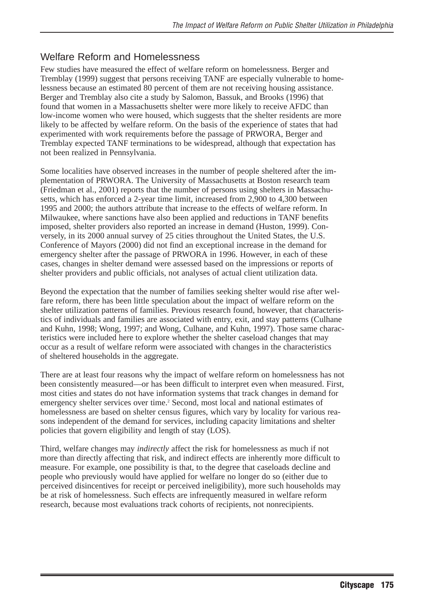#### Welfare Reform and Homelessness

Few studies have measured the effect of welfare reform on homelessness. Berger and Tremblay (1999) suggest that persons receiving TANF are especially vulnerable to homelessness because an estimated 80 percent of them are not receiving housing assistance. Berger and Tremblay also cite a study by Salomon, Bassuk, and Brooks (1996) that found that women in a Massachusetts shelter were more likely to receive AFDC than low-income women who were housed, which suggests that the shelter residents are more likely to be affected by welfare reform. On the basis of the experience of states that had experimented with work requirements before the passage of PRWORA, Berger and Tremblay expected TANF terminations to be widespread, although that expectation has not been realized in Pennsylvania.

Some localities have observed increases in the number of people sheltered after the implementation of PRWORA. The University of Massachusetts at Boston research team (Friedman et al., 2001) reports that the number of persons using shelters in Massachusetts, which has enforced a 2-year time limit, increased from 2,900 to 4,300 between 1995 and 2000; the authors attribute that increase to the effects of welfare reform. In Milwaukee, where sanctions have also been applied and reductions in TANF benefits imposed, shelter providers also reported an increase in demand (Huston, 1999). Conversely, in its 2000 annual survey of 25 cities throughout the United States, the U.S. Conference of Mayors (2000) did not find an exceptional increase in the demand for emergency shelter after the passage of PRWORA in 1996. However, in each of these cases, changes in shelter demand were assessed based on the impressions or reports of shelter providers and public officials, not analyses of actual client utilization data.

Beyond the expectation that the number of families seeking shelter would rise after welfare reform, there has been little speculation about the impact of welfare reform on the shelter utilization patterns of families. Previous research found, however, that characteristics of individuals and families are associated with entry, exit, and stay patterns (Culhane and Kuhn, 1998; Wong, 1997; and Wong, Culhane, and Kuhn, 1997). Those same characteristics were included here to explore whether the shelter caseload changes that may occur as a result of welfare reform were associated with changes in the characteristics of sheltered households in the aggregate.

There are at least four reasons why the impact of welfare reform on homelessness has not been consistently measured—or has been difficult to interpret even when measured. First, most cities and states do not have information systems that track changes in demand for emergency shelter services over time.<sup>2</sup> Second, most local and national estimates of homelessness are based on shelter census figures, which vary by locality for various reasons independent of the demand for services, including capacity limitations and shelter policies that govern eligibility and length of stay (LOS).

Third, welfare changes may *indirectly* affect the risk for homelessness as much if not more than directly affecting that risk, and indirect effects are inherently more difficult to measure. For example, one possibility is that, to the degree that caseloads decline and people who previously would have applied for welfare no longer do so (either due to perceived disincentives for receipt or perceived ineligibility), more such households may be at risk of homelessness. Such effects are infrequently measured in welfare reform research, because most evaluations track cohorts of recipients, not nonrecipients.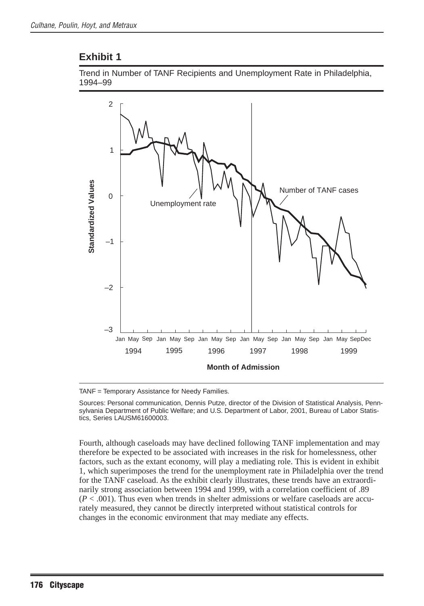

TANF = Temporary Assistance for Needy Families.

Sources: Personal communication, Dennis Putze, director of the Division of Statistical Analysis, Pennsylvania Department of Public Welfare; and U.S. Department of Labor, 2001, Bureau of Labor Statistics, Series LAUSM61600003.

Fourth, although caseloads may have declined following TANF implementation and may therefore be expected to be associated with increases in the risk for homelessness, other factors, such as the extant economy, will play a mediating role. This is evident in exhibit 1, which superimposes the trend for the unemployment rate in Philadelphia over the trend for the TANF caseload. As the exhibit clearly illustrates, these trends have an extraordinarily strong association between 1994 and 1999, with a correlation coefficient of .89  $(P < .001)$ . Thus even when trends in shelter admissions or welfare caseloads are accurately measured, they cannot be directly interpreted without statistical controls for changes in the economic environment that may mediate any effects.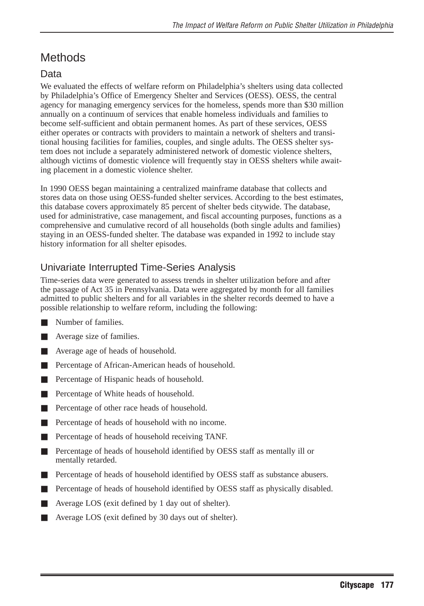# **Methods**

## Data

We evaluated the effects of welfare reform on Philadelphia's shelters using data collected by Philadelphia's Office of Emergency Shelter and Services (OESS). OESS, the central agency for managing emergency services for the homeless, spends more than \$30 million annually on a continuum of services that enable homeless individuals and families to become self-sufficient and obtain permanent homes. As part of these services, OESS either operates or contracts with providers to maintain a network of shelters and transitional housing facilities for families, couples, and single adults. The OESS shelter system does not include a separately administered network of domestic violence shelters, although victims of domestic violence will frequently stay in OESS shelters while awaiting placement in a domestic violence shelter.

In 1990 OESS began maintaining a centralized mainframe database that collects and stores data on those using OESS-funded shelter services. According to the best estimates, this database covers approximately 85 percent of shelter beds citywide. The database, used for administrative, case management, and fiscal accounting purposes, functions as a comprehensive and cumulative record of all households (both single adults and families) staying in an OESS-funded shelter. The database was expanded in 1992 to include stay history information for all shelter episodes.

## Univariate Interrupted Time-Series Analysis

Time-series data were generated to assess trends in shelter utilization before and after the passage of Act 35 in Pennsylvania. Data were aggregated by month for all families admitted to public shelters and for all variables in the shelter records deemed to have a possible relationship to welfare reform, including the following:

- Number of families.
- Average size of families.
- Average age of heads of household.
- Percentage of African-American heads of household.
- Percentage of Hispanic heads of household.
- Percentage of White heads of household.
- Percentage of other race heads of household.
- Percentage of heads of household with no income.
- Percentage of heads of household receiving TANF.
- Percentage of heads of household identified by OESS staff as mentally ill or mentally retarded.
- Percentage of heads of household identified by OESS staff as substance abusers.
- Percentage of heads of household identified by OESS staff as physically disabled.
- Average LOS (exit defined by 1 day out of shelter).
- Average LOS (exit defined by 30 days out of shelter).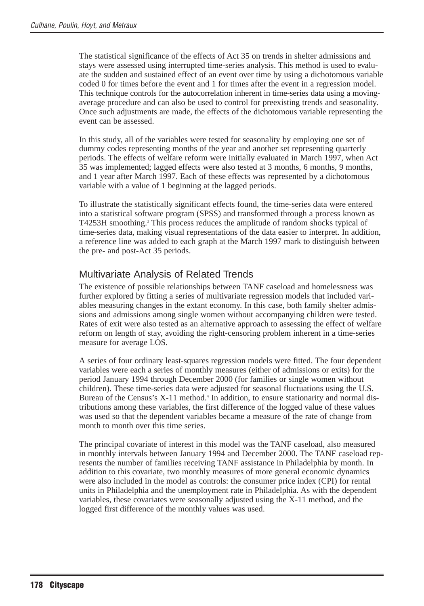The statistical significance of the effects of Act 35 on trends in shelter admissions and stays were assessed using interrupted time-series analysis. This method is used to evaluate the sudden and sustained effect of an event over time by using a dichotomous variable coded 0 for times before the event and 1 for times after the event in a regression model. This technique controls for the autocorrelation inherent in time-series data using a movingaverage procedure and can also be used to control for preexisting trends and seasonality. Once such adjustments are made, the effects of the dichotomous variable representing the event can be assessed.

In this study, all of the variables were tested for seasonality by employing one set of dummy codes representing months of the year and another set representing quarterly periods. The effects of welfare reform were initially evaluated in March 1997, when Act 35 was implemented; lagged effects were also tested at 3 months, 6 months, 9 months, and 1 year after March 1997. Each of these effects was represented by a dichotomous variable with a value of 1 beginning at the lagged periods.

To illustrate the statistically significant effects found, the time-series data were entered into a statistical software program (SPSS) and transformed through a process known as T4253H smoothing.3 This process reduces the amplitude of random shocks typical of time-series data, making visual representations of the data easier to interpret. In addition, a reference line was added to each graph at the March 1997 mark to distinguish between the pre- and post-Act 35 periods.

#### Multivariate Analysis of Related Trends

The existence of possible relationships between TANF caseload and homelessness was further explored by fitting a series of multivariate regression models that included variables measuring changes in the extant economy. In this case, both family shelter admissions and admissions among single women without accompanying children were tested. Rates of exit were also tested as an alternative approach to assessing the effect of welfare reform on length of stay, avoiding the right-censoring problem inherent in a time-series measure for average LOS.

A series of four ordinary least-squares regression models were fitted. The four dependent variables were each a series of monthly measures (either of admissions or exits) for the period January 1994 through December 2000 (for families or single women without children). These time-series data were adjusted for seasonal fluctuations using the U.S. Bureau of the Census's  $X-11$  method.<sup>4</sup> In addition, to ensure stationarity and normal distributions among these variables, the first difference of the logged value of these values was used so that the dependent variables became a measure of the rate of change from month to month over this time series.

The principal covariate of interest in this model was the TANF caseload, also measured in monthly intervals between January 1994 and December 2000. The TANF caseload represents the number of families receiving TANF assistance in Philadelphia by month. In addition to this covariate, two monthly measures of more general economic dynamics were also included in the model as controls: the consumer price index (CPI) for rental units in Philadelphia and the unemployment rate in Philadelphia. As with the dependent variables, these covariates were seasonally adjusted using the X-11 method, and the logged first difference of the monthly values was used.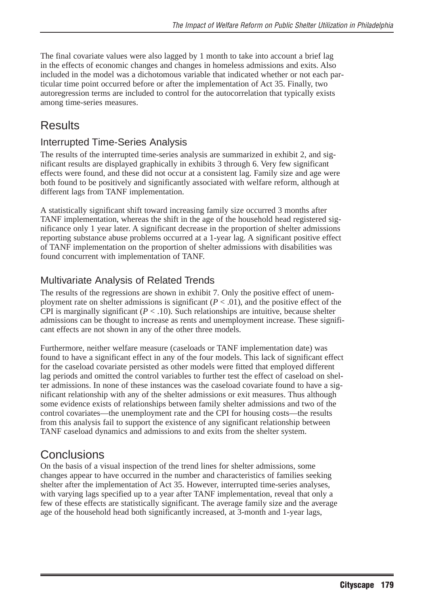The final covariate values were also lagged by 1 month to take into account a brief lag in the effects of economic changes and changes in homeless admissions and exits. Also included in the model was a dichotomous variable that indicated whether or not each particular time point occurred before or after the implementation of Act 35. Finally, two autoregression terms are included to control for the autocorrelation that typically exists among time-series measures.

# **Results**

#### Interrupted Time-Series Analysis

The results of the interrupted time-series analysis are summarized in exhibit 2, and significant results are displayed graphically in exhibits 3 through 6. Very few significant effects were found, and these did not occur at a consistent lag. Family size and age were both found to be positively and significantly associated with welfare reform, although at different lags from TANF implementation.

A statistically significant shift toward increasing family size occurred 3 months after TANF implementation, whereas the shift in the age of the household head registered significance only 1 year later. A significant decrease in the proportion of shelter admissions reporting substance abuse problems occurred at a 1-year lag. A significant positive effect of TANF implementation on the proportion of shelter admissions with disabilities was found concurrent with implementation of TANF.

#### Multivariate Analysis of Related Trends

The results of the regressions are shown in exhibit 7. Only the positive effect of unemployment rate on shelter admissions is significant  $(P < .01)$ , and the positive effect of the CPI is marginally significant  $(P < .10)$ . Such relationships are intuitive, because shelter admissions can be thought to increase as rents and unemployment increase. These significant effects are not shown in any of the other three models.

Furthermore, neither welfare measure (caseloads or TANF implementation date) was found to have a significant effect in any of the four models. This lack of significant effect for the caseload covariate persisted as other models were fitted that employed different lag periods and omitted the control variables to further test the effect of caseload on shelter admissions. In none of these instances was the caseload covariate found to have a significant relationship with any of the shelter admissions or exit measures. Thus although some evidence exists of relationships between family shelter admissions and two of the control covariates—the unemployment rate and the CPI for housing costs—the results from this analysis fail to support the existence of any significant relationship between TANF caseload dynamics and admissions to and exits from the shelter system.

## **Conclusions**

On the basis of a visual inspection of the trend lines for shelter admissions, some changes appear to have occurred in the number and characteristics of families seeking shelter after the implementation of Act 35. However, interrupted time-series analyses, with varying lags specified up to a year after TANF implementation, reveal that only a few of these effects are statistically significant. The average family size and the average age of the household head both significantly increased, at 3-month and 1-year lags,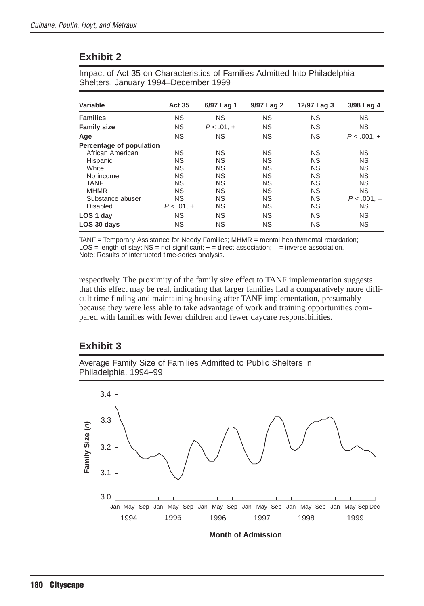Impact of Act 35 on Characteristics of Families Admitted Into Philadelphia Shelters, January 1994–December 1999

| Variable                 | <b>Act 35</b> | 6/97 Lag 1   | 9/97 Lag 2 | 12/97 Lag 3 | 3/98 Lag 4   |
|--------------------------|---------------|--------------|------------|-------------|--------------|
| <b>Families</b>          | <b>NS</b>     | <b>NS</b>    | <b>NS</b>  | <b>NS</b>   | <b>NS</b>    |
| <b>Family size</b>       | <b>NS</b>     | $P < .01. +$ | <b>NS</b>  | <b>NS</b>   | <b>NS</b>    |
| Age                      | <b>NS</b>     | <b>NS</b>    | <b>NS</b>  | <b>NS</b>   | $P < .001 +$ |
| Percentage of population |               |              |            |             |              |
| African American         | <b>NS</b>     | <b>NS</b>    | <b>NS</b>  | <b>NS</b>   | <b>NS</b>    |
| Hispanic                 | <b>NS</b>     | <b>NS</b>    | <b>NS</b>  | <b>NS</b>   | <b>NS</b>    |
| White                    | <b>NS</b>     | <b>NS</b>    | <b>NS</b>  | <b>NS</b>   | <b>NS</b>    |
| No income                | <b>NS</b>     | <b>NS</b>    | <b>NS</b>  | <b>NS</b>   | <b>NS</b>    |
| <b>TANF</b>              | <b>NS</b>     | <b>NS</b>    | <b>NS</b>  | <b>NS</b>   | <b>NS</b>    |
| <b>MHMR</b>              | <b>NS</b>     | <b>NS</b>    | <b>NS</b>  | <b>NS</b>   | <b>NS</b>    |
| Substance abuser         | <b>NS</b>     | <b>NS</b>    | <b>NS</b>  | <b>NS</b>   | $P < .001 -$ |
| Disabled                 | $P < .01. +$  | <b>NS</b>    | <b>NS</b>  | <b>NS</b>   | <b>NS</b>    |
| LOS 1 day                | <b>NS</b>     | <b>NS</b>    | <b>NS</b>  | <b>NS</b>   | <b>NS</b>    |
| LOS 30 days              | <b>NS</b>     | <b>NS</b>    | <b>NS</b>  | <b>NS</b>   | <b>NS</b>    |

TANF = Temporary Assistance for Needy Families; MHMR = mental health/mental retardation;  $LOS = length of stay; NS = not significant; + = direct association; - = inverse association.$ Note: Results of interrupted time-series analysis.

respectively. The proximity of the family size effect to TANF implementation suggests that this effect may be real, indicating that larger families had a comparatively more difficult time finding and maintaining housing after TANF implementation, presumably because they were less able to take advantage of work and training opportunities compared with families with fewer children and fewer daycare responsibilities.

#### **Exhibit 3**

Average Family Size of Families Admitted to Public Shelters in Philadelphia, 1994–99

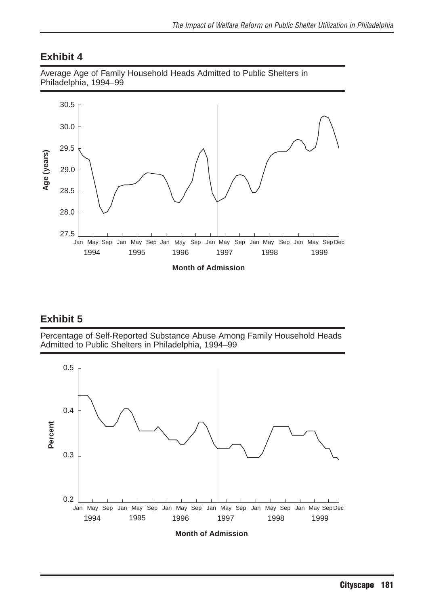



#### **Exhibit 5**

Percentage of Self-Reported Substance Abuse Among Family Household Heads Admitted to Public Shelters in Philadelphia, 1994–99

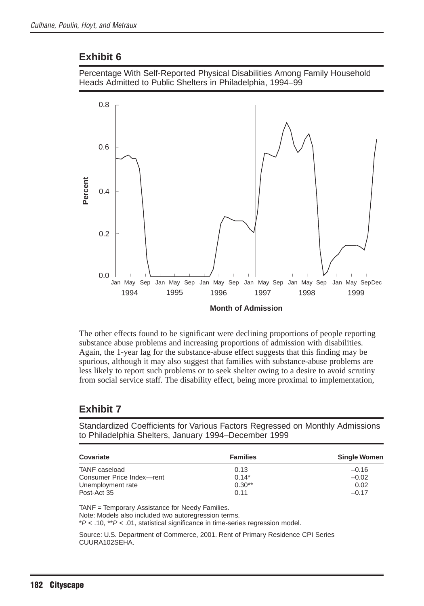



The other effects found to be significant were declining proportions of people reporting substance abuse problems and increasing proportions of admission with disabilities. Again, the 1-year lag for the substance-abuse effect suggests that this finding may be spurious, although it may also suggest that families with substance-abuse problems are less likely to report such problems or to seek shelter owing to a desire to avoid scrutiny from social service staff. The disability effect, being more proximal to implementation,

#### **Exhibit 7**

Standardized Coefficients for Various Factors Regressed on Monthly Admissions to Philadelphia Shelters, January 1994–December 1999

| Covariate                 | <b>Families</b> | <b>Single Women</b> |  |
|---------------------------|-----------------|---------------------|--|
| TANF caseload             | 0.13            | $-0.16$             |  |
| Consumer Price Index-rent | $0.14*$         | $-0.02$             |  |
| Unemployment rate         | $0.30**$        | 0.02                |  |
| Post-Act 35               | 0.11            | $-0.17$             |  |

TANF = Temporary Assistance for Needy Families.

Note: Models also included two autoregression terms.

 $*P$  < .10,  $*P$  < .01, statistical significance in time-series regression model.

Source: U.S. Department of Commerce, 2001. Rent of Primary Residence CPI Series CUURA102SEHA.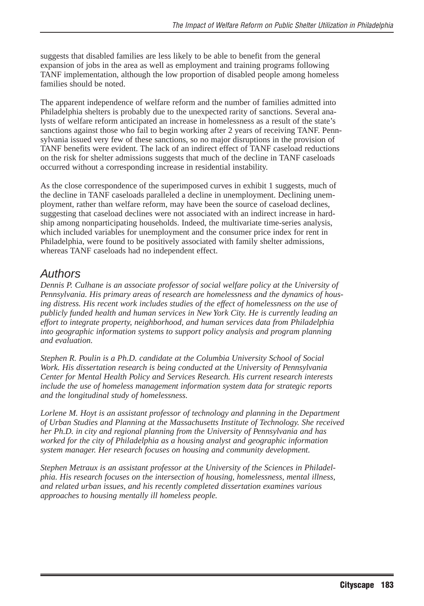suggests that disabled families are less likely to be able to benefit from the general expansion of jobs in the area as well as employment and training programs following TANF implementation, although the low proportion of disabled people among homeless families should be noted.

The apparent independence of welfare reform and the number of families admitted into Philadelphia shelters is probably due to the unexpected rarity of sanctions. Several analysts of welfare reform anticipated an increase in homelessness as a result of the state's sanctions against those who fail to begin working after 2 years of receiving TANF. Pennsylvania issued very few of these sanctions, so no major disruptions in the provision of TANF benefits were evident. The lack of an indirect effect of TANF caseload reductions on the risk for shelter admissions suggests that much of the decline in TANF caseloads occurred without a corresponding increase in residential instability.

As the close correspondence of the superimposed curves in exhibit 1 suggests, much of the decline in TANF caseloads paralleled a decline in unemployment. Declining unemployment, rather than welfare reform, may have been the source of caseload declines, suggesting that caseload declines were not associated with an indirect increase in hardship among nonparticipating households. Indeed, the multivariate time-series analysis, which included variables for unemployment and the consumer price index for rent in Philadelphia, were found to be positively associated with family shelter admissions, whereas TANF caseloads had no independent effect.

## Authors

*Dennis P. Culhane is an associate professor of social welfare policy at the University of Pennsylvania. His primary areas of research are homelessness and the dynamics of housing distress. His recent work includes studies of the effect of homelessness on the use of publicly funded health and human services in New York City. He is currently leading an effort to integrate property, neighborhood, and human services data from Philadelphia into geographic information systems to support policy analysis and program planning and evaluation.*

*Stephen R. Poulin is a Ph.D. candidate at the Columbia University School of Social Work. His dissertation research is being conducted at the University of Pennsylvania Center for Mental Health Policy and Services Research. His current research interests include the use of homeless management information system data for strategic reports and the longitudinal study of homelessness.*

*Lorlene M. Hoyt is an assistant professor of technology and planning in the Department of Urban Studies and Planning at the Massachusetts Institute of Technology. She received her Ph.D. in city and regional planning from the University of Pennsylvania and has worked for the city of Philadelphia as a housing analyst and geographic information system manager. Her research focuses on housing and community development.*

*Stephen Metraux is an assistant professor at the University of the Sciences in Philadelphia. His research focuses on the intersection of housing, homelessness, mental illness, and related urban issues, and his recently completed dissertation examines various approaches to housing mentally ill homeless people.*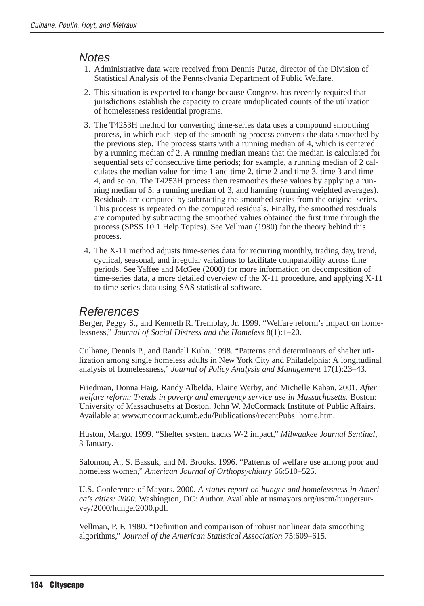#### **Notes**

- 1. Administrative data were received from Dennis Putze, director of the Division of Statistical Analysis of the Pennsylvania Department of Public Welfare.
- 2. This situation is expected to change because Congress has recently required that jurisdictions establish the capacity to create unduplicated counts of the utilization of homelessness residential programs.
- 3. The T4253H method for converting time-series data uses a compound smoothing process, in which each step of the smoothing process converts the data smoothed by the previous step. The process starts with a running median of 4, which is centered by a running median of 2. A running median means that the median is calculated for sequential sets of consecutive time periods; for example, a running median of 2 calculates the median value for time 1 and time 2, time 2 and time 3, time 3 and time 4, and so on. The T4253H process then resmoothes these values by applying a running median of 5, a running median of 3, and hanning (running weighted averages). Residuals are computed by subtracting the smoothed series from the original series. This process is repeated on the computed residuals. Finally, the smoothed residuals are computed by subtracting the smoothed values obtained the first time through the process (SPSS 10.1 Help Topics). See Vellman (1980) for the theory behind this process.
- 4. The X-11 method adjusts time-series data for recurring monthly, trading day, trend, cyclical, seasonal, and irregular variations to facilitate comparability across time periods. See Yaffee and McGee (2000) for more information on decomposition of time-series data, a more detailed overview of the X-11 procedure, and applying X-11 to time-series data using SAS statistical software.

#### References

Berger, Peggy S., and Kenneth R. Tremblay, Jr. 1999. "Welfare reform's impact on homelessness," *Journal of Social Distress and the Homeless* 8(1):1–20.

Culhane, Dennis P., and Randall Kuhn. 1998. "Patterns and determinants of shelter utilization among single homeless adults in New York City and Philadelphia: A longitudinal analysis of homelessness," *Journal of Policy Analysis and Management* 17(1):23–43.

Friedman, Donna Haig, Randy Albelda, Elaine Werby, and Michelle Kahan. 2001. *After welfare reform: Trends in poverty and emergency service use in Massachusetts.* Boston: University of Massachusetts at Boston, John W. McCormack Institute of Public Affairs. Available at www.mccormack.umb.edu/Publications/recentPubs\_home.htm.

Huston, Margo. 1999. "Shelter system tracks W-2 impact," *Milwaukee Journal Sentinel,* 3 January.

Salomon, A., S. Bassuk, and M. Brooks. 1996. "Patterns of welfare use among poor and homeless women," *American Journal of Orthopsychiatry* 66:510–525.

U.S. Conference of Mayors. 2000. *A status report on hunger and homelessness in America's cities: 2000.* Washington, DC: Author. Available at usmayors.org/uscm/hungersurvey/2000/hunger2000.pdf.

Vellman, P. F. 1980. "Definition and comparison of robust nonlinear data smoothing algorithms," *Journal of the American Statistical Association* 75:609–615.